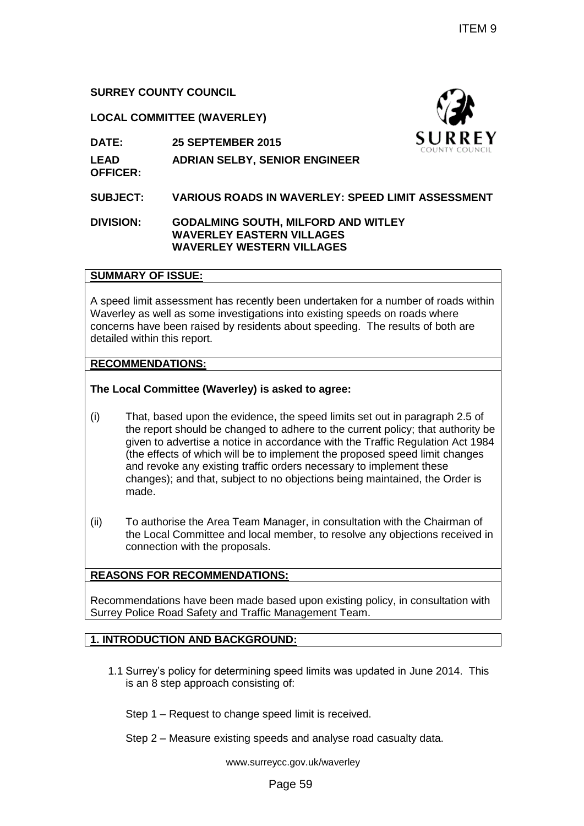## **SURREY COUNTY COUNCIL**

### **LOCAL COMMITTEE (WAVERLEY)**

**DATE: 25 SEPTEMBER 2015**

**LEAD OFFICER: ADRIAN SELBY, SENIOR ENGINEER**

### **SUBJECT: VARIOUS ROADS IN WAVERLEY: SPEED LIMIT ASSESSMENT**

**DIVISION: GODALMING SOUTH, MILFORD AND WITLEY WAVERLEY EASTERN VILLAGES WAVERLEY WESTERN VILLAGES**

# **SUMMARY OF ISSUE:**

A speed limit assessment has recently been undertaken for a number of roads within Waverley as well as some investigations into existing speeds on roads where concerns have been raised by residents about speeding. The results of both are detailed within this report.

### **RECOMMENDATIONS:**

#### **The Local Committee (Waverley) is asked to agree:**

- (i) That, based upon the evidence, the speed limits set out in paragraph 2.5 of the report should be changed to adhere to the current policy; that authority be given to advertise a notice in accordance with the Traffic Regulation Act 1984 (the effects of which will be to implement the proposed speed limit changes and revoke any existing traffic orders necessary to implement these changes); and that, subject to no objections being maintained, the Order is made. ITEM 9<br>
THEM 9<br>
THEM SUMPLE SUMPLE SUMPLEM SUMPLEM SUMPLEM SUMPLEM SUMPLEM SUMPLEM COUNT COUNT<br>
TH, MILFORD AND WITLEY<br>
IN WAVERLEY: SPEED LIMIT ASSESSMENT<br>
TH, MILFORD AND WITLEY<br>
IN the muderataken for a number of roads
- (ii) To authorise the Area Team Manager, in consultation with the Chairman of the Local Committee and local member, to resolve any objections received in connection with the proposals.

### **REASONS FOR RECOMMENDATIONS:**

Recommendations have been made based upon existing policy, in consultation with Surrey Police Road Safety and Traffic Management Team.

### **1. INTRODUCTION AND BACKGROUND:**

1.1 Surrey's policy for determining speed limits was updated in June 2014. This is an 8 step approach consisting of:

Step 1 – Request to change speed limit is received.

Step 2 – Measure existing speeds and analyse road casualty data.

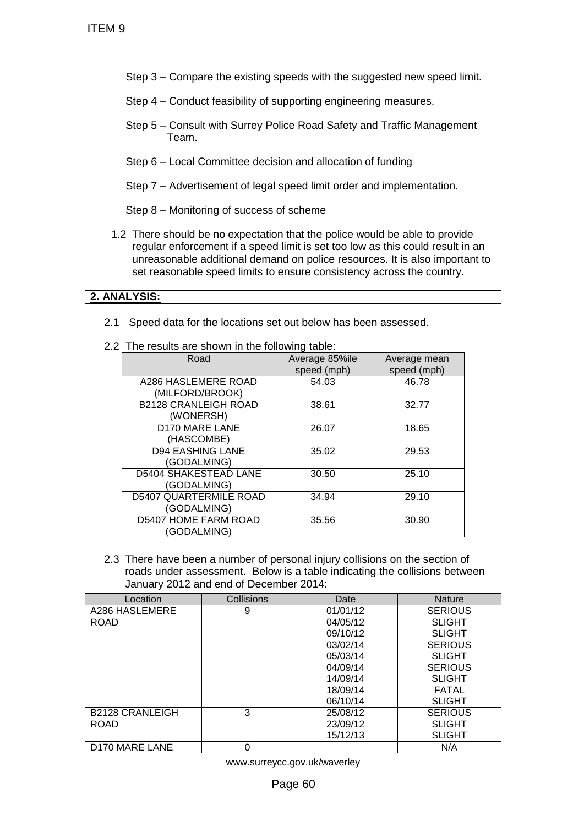- Step 3 Compare the existing speeds with the suggested new speed limit.
- Step 4 Conduct feasibility of supporting engineering measures.
- Step 5 Consult with Surrey Police Road Safety and Traffic Management Team.
- Step 6 Local Committee decision and allocation of funding
- Step 7 Advertisement of legal speed limit order and implementation.

### **2. ANALYSIS:**

| 2.2 The results are shown in the following table: |                |  |
|---------------------------------------------------|----------------|--|
| Road                                              | Average 85%ile |  |

| Road                                         | Average 85%ile<br>speed (mph) | Average mean<br>speed (mph) |
|----------------------------------------------|-------------------------------|-----------------------------|
| A286 HASLEMERE ROAD<br>(MILFORD/BROOK)       | 54.03                         | 46.78                       |
| <b>B2128 CRANLEIGH ROAD</b><br>(WONERSH)     | 38.61                         | 32.77                       |
| <b>D170 MARE LANE</b><br>(HASCOMBE)          | 26.07                         | 18.65                       |
| <b>D94 EASHING LANE</b><br>(GODALMING)       | 35.02                         | 29.53                       |
| <b>D5404 SHAKESTEAD LANE</b><br>(GODALMING)  | 30.50                         | 25.10                       |
| <b>D5407 QUARTERMILE ROAD</b><br>(GODALMING) | 34.94                         | 29.10                       |
| D5407 HOME FARM ROAD<br>(GODALMING)          | 35.56                         | 30.90                       |

| ITEM <sub>9</sub>                                                                                                                                                                                    |                                                                                 |                                  |                                                                                              |                                                                                                                                                                                                                                              |  |
|------------------------------------------------------------------------------------------------------------------------------------------------------------------------------------------------------|---------------------------------------------------------------------------------|----------------------------------|----------------------------------------------------------------------------------------------|----------------------------------------------------------------------------------------------------------------------------------------------------------------------------------------------------------------------------------------------|--|
|                                                                                                                                                                                                      | Step 3 – Compare the existing speeds with the suggested new speed limit.        |                                  |                                                                                              |                                                                                                                                                                                                                                              |  |
|                                                                                                                                                                                                      | Step 4 – Conduct feasibility of supporting engineering measures.                |                                  |                                                                                              |                                                                                                                                                                                                                                              |  |
|                                                                                                                                                                                                      | Step 5 – Consult with Surrey Police Road Safety and Traffic Management<br>Team. |                                  |                                                                                              |                                                                                                                                                                                                                                              |  |
|                                                                                                                                                                                                      | Step 6 – Local Committee decision and allocation of funding                     |                                  |                                                                                              |                                                                                                                                                                                                                                              |  |
|                                                                                                                                                                                                      | Step 7 – Advertisement of legal speed limit order and implementation.           |                                  |                                                                                              |                                                                                                                                                                                                                                              |  |
|                                                                                                                                                                                                      | Step 8 – Monitoring of success of scheme                                        |                                  |                                                                                              |                                                                                                                                                                                                                                              |  |
|                                                                                                                                                                                                      |                                                                                 |                                  | set reasonable speed limits to ensure consistency across the country.                        | 1.2 There should be no expectation that the police would be able to provide<br>regular enforcement if a speed limit is set too low as this could result in an<br>unreasonable additional demand on police resources. It is also important to |  |
|                                                                                                                                                                                                      | 2. ANALYSIS:                                                                    |                                  |                                                                                              |                                                                                                                                                                                                                                              |  |
| 2.1                                                                                                                                                                                                  |                                                                                 |                                  | Speed data for the locations set out below has been assessed.                                |                                                                                                                                                                                                                                              |  |
|                                                                                                                                                                                                      | 2.2 The results are shown in the following table:                               |                                  |                                                                                              |                                                                                                                                                                                                                                              |  |
|                                                                                                                                                                                                      | Road                                                                            |                                  | Average 85%ile<br>speed (mph)                                                                | Average mean<br>speed (mph)                                                                                                                                                                                                                  |  |
|                                                                                                                                                                                                      | A286 HASLEMERE ROAD<br>(MILFORD/BROOK)                                          |                                  | 54.03                                                                                        | 46.78                                                                                                                                                                                                                                        |  |
|                                                                                                                                                                                                      | <b>B2128 CRANLEIGH ROAD</b><br>(WONERSH)                                        |                                  | 38.61                                                                                        | 32.77                                                                                                                                                                                                                                        |  |
| D170 MARE LANE<br>(HASCOMBE)<br><b>D94 EASHING LANE</b><br>(GODALMING)<br>D5404 SHAKESTEAD LANE<br>(GODALMING)<br><b>D5407 QUARTERMILE ROAD</b><br>(GODALMING)                                       |                                                                                 |                                  | 26.07                                                                                        | 18.65                                                                                                                                                                                                                                        |  |
|                                                                                                                                                                                                      |                                                                                 |                                  | 35.02                                                                                        | 29.53                                                                                                                                                                                                                                        |  |
|                                                                                                                                                                                                      |                                                                                 |                                  | 30.50                                                                                        | 25.10                                                                                                                                                                                                                                        |  |
|                                                                                                                                                                                                      |                                                                                 |                                  | 34.94                                                                                        | 29.10                                                                                                                                                                                                                                        |  |
|                                                                                                                                                                                                      | D5407 HOME FARM ROAD<br>(GODALMING)                                             |                                  | 35.56                                                                                        | 30.90                                                                                                                                                                                                                                        |  |
| 2.3 There have been a number of personal injury collisions on the section of<br>roads under assessment. Below is a table indicating the collisions between<br>January 2012 and end of December 2014: |                                                                                 |                                  |                                                                                              |                                                                                                                                                                                                                                              |  |
|                                                                                                                                                                                                      | Location<br>A286 HASLEMERE                                                      | Collisions<br>9                  | Date<br>01/01/12                                                                             | Nature<br><b>SERIOUS</b>                                                                                                                                                                                                                     |  |
| <b>ROAD</b>                                                                                                                                                                                          |                                                                                 |                                  | 04/05/12<br>09/10/12<br>03/02/14<br>05/03/14<br>04/09/14<br>14/09/14<br>18/09/14<br>06/10/14 | <b>SLIGHT</b><br><b>SLIGHT</b><br><b>SERIOUS</b><br><b>SLIGHT</b><br><b>SERIOUS</b><br><b>SLIGHT</b><br><b>FATAL</b><br><b>SLIGHT</b>                                                                                                        |  |
| 3<br><b>B2128 CRANLEIGH</b><br><b>ROAD</b>                                                                                                                                                           |                                                                                 | 25/08/12<br>23/09/12<br>15/12/13 | <b>SERIOUS</b><br><b>SLIGHT</b><br><b>SLIGHT</b>                                             |                                                                                                                                                                                                                                              |  |
|                                                                                                                                                                                                      | D170 MARE LANE                                                                  | $\overline{0}$                   |                                                                                              | N/A                                                                                                                                                                                                                                          |  |
|                                                                                                                                                                                                      |                                                                                 |                                  | www.surreycc.gov.uk/waverley                                                                 |                                                                                                                                                                                                                                              |  |
| Page 60                                                                                                                                                                                              |                                                                                 |                                  |                                                                                              |                                                                                                                                                                                                                                              |  |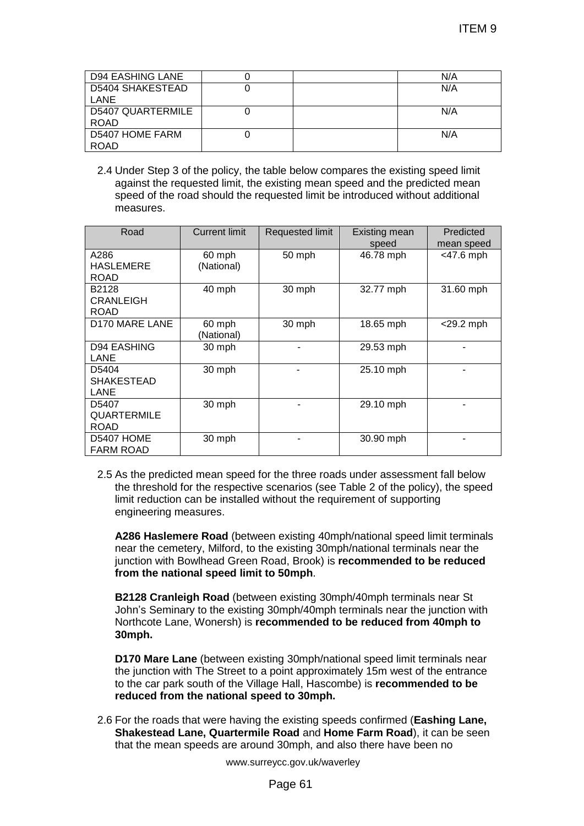| <b>D94 EASHING LANE</b> |  | N/A |
|-------------------------|--|-----|
| D5404 SHAKESTEAD        |  | N/A |
| LANE                    |  |     |
| D5407 QUARTERMILE       |  | N/A |
| <b>ROAD</b>             |  |     |
| D5407 HOME FARM         |  | N/A |
| <b>ROAD</b>             |  |     |

|                                                                                                                                                             |                                                                                                                                                      |                 |                                                                                                                                                                      | ITEM 9       |  |
|-------------------------------------------------------------------------------------------------------------------------------------------------------------|------------------------------------------------------------------------------------------------------------------------------------------------------|-----------------|----------------------------------------------------------------------------------------------------------------------------------------------------------------------|--------------|--|
|                                                                                                                                                             |                                                                                                                                                      |                 |                                                                                                                                                                      |              |  |
|                                                                                                                                                             |                                                                                                                                                      |                 |                                                                                                                                                                      |              |  |
| <b>D94 EASHING LANE</b>                                                                                                                                     | 0                                                                                                                                                    |                 |                                                                                                                                                                      | N/A          |  |
| <b>D5404 SHAKESTEAD</b><br>LANE                                                                                                                             | $\overline{0}$                                                                                                                                       |                 |                                                                                                                                                                      | N/A          |  |
| <b>D5407 QUARTERMILE</b><br><b>ROAD</b>                                                                                                                     | 0                                                                                                                                                    |                 |                                                                                                                                                                      | N/A          |  |
| <b>D5407 HOME FARM</b>                                                                                                                                      | $\overline{0}$                                                                                                                                       |                 |                                                                                                                                                                      | N/A          |  |
| <b>ROAD</b>                                                                                                                                                 |                                                                                                                                                      |                 |                                                                                                                                                                      |              |  |
|                                                                                                                                                             |                                                                                                                                                      |                 | 2.4 Under Step 3 of the policy, the table below compares the existing speed limit                                                                                    |              |  |
|                                                                                                                                                             |                                                                                                                                                      |                 | against the requested limit, the existing mean speed and the predicted mean                                                                                          |              |  |
|                                                                                                                                                             |                                                                                                                                                      |                 | speed of the road should the requested limit be introduced without additional                                                                                        |              |  |
| measures.                                                                                                                                                   |                                                                                                                                                      |                 |                                                                                                                                                                      |              |  |
| Road                                                                                                                                                        | <b>Current limit</b>                                                                                                                                 | Requested limit | Existing mean                                                                                                                                                        | Predicted    |  |
|                                                                                                                                                             |                                                                                                                                                      |                 | speed                                                                                                                                                                | mean speed   |  |
| A286                                                                                                                                                        | 60 mph                                                                                                                                               | 50 mph          | 46.78 mph                                                                                                                                                            | $<$ 47.6 mph |  |
| <b>HASLEMERE</b><br><b>ROAD</b>                                                                                                                             | (National)                                                                                                                                           |                 |                                                                                                                                                                      |              |  |
| B2128                                                                                                                                                       | 40 mph                                                                                                                                               | 30 mph          | 32.77 mph                                                                                                                                                            | 31.60 mph    |  |
| <b>CRANLEIGH</b>                                                                                                                                            |                                                                                                                                                      |                 |                                                                                                                                                                      |              |  |
| <b>ROAD</b><br><b>D170 MARE LANE</b>                                                                                                                        | 60 mph                                                                                                                                               | 30 mph          | 18.65 mph                                                                                                                                                            | <29.2 mph    |  |
|                                                                                                                                                             | (National)                                                                                                                                           |                 |                                                                                                                                                                      |              |  |
| <b>D94 EASHING</b>                                                                                                                                          | 30 mph                                                                                                                                               |                 | 29.53 mph                                                                                                                                                            |              |  |
| <b>LANE</b><br>D5404                                                                                                                                        |                                                                                                                                                      |                 |                                                                                                                                                                      |              |  |
| <b>SHAKESTEAD</b>                                                                                                                                           | 30 mph                                                                                                                                               | $\blacksquare$  | 25.10 mph                                                                                                                                                            |              |  |
| LANE                                                                                                                                                        |                                                                                                                                                      |                 |                                                                                                                                                                      |              |  |
| D5407                                                                                                                                                       | 30 mph                                                                                                                                               |                 | 29.10 mph                                                                                                                                                            |              |  |
| QUARTERMILE<br><b>ROAD</b>                                                                                                                                  |                                                                                                                                                      |                 |                                                                                                                                                                      |              |  |
| D5407 HOME                                                                                                                                                  | 30 mph                                                                                                                                               |                 | 30.90 mph                                                                                                                                                            |              |  |
| <b>FARM ROAD</b>                                                                                                                                            |                                                                                                                                                      |                 |                                                                                                                                                                      |              |  |
|                                                                                                                                                             |                                                                                                                                                      |                 |                                                                                                                                                                      |              |  |
|                                                                                                                                                             |                                                                                                                                                      |                 | 2.5 As the predicted mean speed for the three roads under assessment fall below<br>the threshold for the respective scenarios (see Table 2 of the policy), the speed |              |  |
|                                                                                                                                                             |                                                                                                                                                      |                 | limit reduction can be installed without the requirement of supporting                                                                                               |              |  |
| engineering measures.                                                                                                                                       |                                                                                                                                                      |                 |                                                                                                                                                                      |              |  |
|                                                                                                                                                             |                                                                                                                                                      |                 |                                                                                                                                                                      |              |  |
|                                                                                                                                                             |                                                                                                                                                      |                 | A286 Haslemere Road (between existing 40mph/national speed limit terminals<br>near the cemetery, Milford, to the existing 30mph/national terminals near the          |              |  |
|                                                                                                                                                             |                                                                                                                                                      |                 | junction with Bowlhead Green Road, Brook) is recommended to be reduced                                                                                               |              |  |
|                                                                                                                                                             | from the national speed limit to 50mph.                                                                                                              |                 |                                                                                                                                                                      |              |  |
|                                                                                                                                                             |                                                                                                                                                      |                 |                                                                                                                                                                      |              |  |
|                                                                                                                                                             | B2128 Cranleigh Road (between existing 30mph/40mph terminals near St<br>John's Seminary to the existing 30mph/40mph terminals near the junction with |                 |                                                                                                                                                                      |              |  |
|                                                                                                                                                             |                                                                                                                                                      |                 |                                                                                                                                                                      |              |  |
| Northcote Lane, Wonersh) is recommended to be reduced from 40mph to<br>30mph.                                                                               |                                                                                                                                                      |                 |                                                                                                                                                                      |              |  |
|                                                                                                                                                             |                                                                                                                                                      |                 |                                                                                                                                                                      |              |  |
| D170 Mare Lane (between existing 30mph/national speed limit terminals near                                                                                  |                                                                                                                                                      |                 |                                                                                                                                                                      |              |  |
| the junction with The Street to a point approximately 15m west of the entrance<br>to the car park south of the Village Hall, Hascombe) is recommended to be |                                                                                                                                                      |                 |                                                                                                                                                                      |              |  |
| reduced from the national speed to 30mph.                                                                                                                   |                                                                                                                                                      |                 |                                                                                                                                                                      |              |  |
|                                                                                                                                                             |                                                                                                                                                      |                 |                                                                                                                                                                      |              |  |
| 2.6 For the roads that were having the existing speeds confirmed (Eashing Lane,                                                                             |                                                                                                                                                      |                 |                                                                                                                                                                      |              |  |
| Shakestead Lane, Quartermile Road and Home Farm Road), it can be seen<br>that the mean speeds are around 30mph, and also there have been no                 |                                                                                                                                                      |                 |                                                                                                                                                                      |              |  |
|                                                                                                                                                             |                                                                                                                                                      |                 |                                                                                                                                                                      |              |  |
| www.surreycc.gov.uk/waverley                                                                                                                                |                                                                                                                                                      |                 |                                                                                                                                                                      |              |  |
| Page 61                                                                                                                                                     |                                                                                                                                                      |                 |                                                                                                                                                                      |              |  |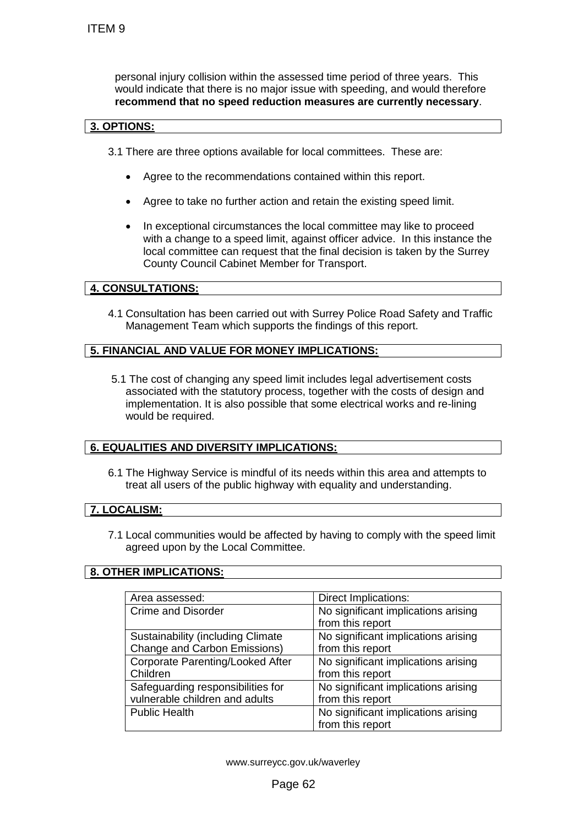### **3. OPTIONS:**

- 3.1 There are three options available for local committees. These are:
	- Agree to the recommendations contained within this report.
	- Agree to take no further action and retain the existing speed limit.
	- In exceptional circumstances the local committee may like to proceed with a change to a speed limit, against officer advice. In this instance the local committee can request that the final decision is taken by the Surrey County Council Cabinet Member for Transport.

## **4. CONSULTATIONS:**

## **5. FINANCIAL AND VALUE FOR MONEY IMPLICATIONS:**

### **6. EQUALITIES AND DIVERSITY IMPLICATIONS:**

### **7. LOCALISM:**

### **8. OTHER IMPLICATIONS:**

| ITEM 9                                                                                                                                                                                                                                                                             |                                                         |  |  |  |
|------------------------------------------------------------------------------------------------------------------------------------------------------------------------------------------------------------------------------------------------------------------------------------|---------------------------------------------------------|--|--|--|
| personal injury collision within the assessed time period of three years. This<br>would indicate that there is no major issue with speeding, and would therefore<br>recommend that no speed reduction measures are currently necessary.                                            |                                                         |  |  |  |
| 3. OPTIONS:                                                                                                                                                                                                                                                                        |                                                         |  |  |  |
| 3.1 There are three options available for local committees. These are:                                                                                                                                                                                                             |                                                         |  |  |  |
| Agree to the recommendations contained within this report.                                                                                                                                                                                                                         |                                                         |  |  |  |
| Agree to take no further action and retain the existing speed limit.                                                                                                                                                                                                               |                                                         |  |  |  |
| In exceptional circumstances the local committee may like to proceed<br>with a change to a speed limit, against officer advice. In this instance the<br>local committee can request that the final decision is taken by the Surrey<br>County Council Cabinet Member for Transport. |                                                         |  |  |  |
| <b>4. CONSULTATIONS:</b>                                                                                                                                                                                                                                                           |                                                         |  |  |  |
| 4.1 Consultation has been carried out with Surrey Police Road Safety and Traffic<br>Management Team which supports the findings of this report.                                                                                                                                    |                                                         |  |  |  |
| 5. FINANCIAL AND VALUE FOR MONEY IMPLICATIONS:                                                                                                                                                                                                                                     |                                                         |  |  |  |
| 5.1 The cost of changing any speed limit includes legal advertisement costs<br>associated with the statutory process, together with the costs of design and<br>implementation. It is also possible that some electrical works and re-lining<br>would be required.                  |                                                         |  |  |  |
| <b>6. EQUALITIES AND DIVERSITY IMPLICATIONS:</b>                                                                                                                                                                                                                                   |                                                         |  |  |  |
| 6.1 The Highway Service is mindful of its needs within this area and attempts to<br>treat all users of the public highway with equality and understanding.                                                                                                                         |                                                         |  |  |  |
| 7. LOCALISM:                                                                                                                                                                                                                                                                       |                                                         |  |  |  |
| 7.1 Local communities would be affected by having to comply with the speed limit<br>agreed upon by the Local Committee.                                                                                                                                                            |                                                         |  |  |  |
| 8. OTHER IMPLICATIONS:                                                                                                                                                                                                                                                             |                                                         |  |  |  |
|                                                                                                                                                                                                                                                                                    |                                                         |  |  |  |
| Area assessed:                                                                                                                                                                                                                                                                     | Direct Implications:                                    |  |  |  |
| <b>Crime and Disorder</b>                                                                                                                                                                                                                                                          | No significant implications arising<br>from this report |  |  |  |
| Sustainability (including Climate<br><b>Change and Carbon Emissions)</b>                                                                                                                                                                                                           | No significant implications arising<br>from this report |  |  |  |
| Corporate Parenting/Looked After<br>Children                                                                                                                                                                                                                                       | No significant implications arising<br>from this report |  |  |  |
| Safeguarding responsibilities for<br>vulnerable children and adults                                                                                                                                                                                                                | No significant implications arising<br>from this report |  |  |  |
| <b>Public Health</b>                                                                                                                                                                                                                                                               | No significant implications arising<br>from this report |  |  |  |
|                                                                                                                                                                                                                                                                                    |                                                         |  |  |  |
|                                                                                                                                                                                                                                                                                    |                                                         |  |  |  |
| www.surreycc.gov.uk/waverley                                                                                                                                                                                                                                                       |                                                         |  |  |  |
| Page 62                                                                                                                                                                                                                                                                            |                                                         |  |  |  |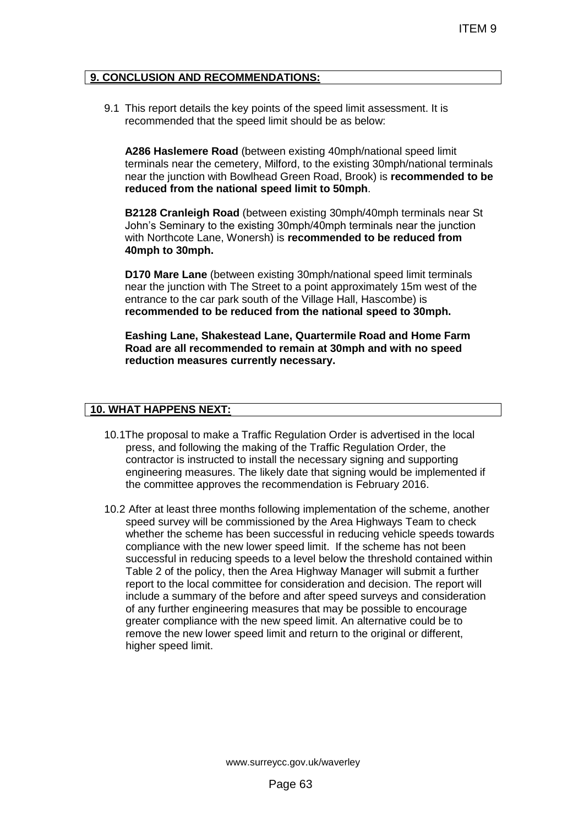### **9. CONCLUSION AND RECOMMENDATIONS:**

9.1 This report details the key points of the speed limit assessment. It is recommended that the speed limit should be as below:

**A286 Haslemere Road** (between existing 40mph/national speed limit terminals near the cemetery, Milford, to the existing 30mph/national terminals near the junction with Bowlhead Green Road, Brook) is **recommended to be reduced from the national speed limit to 50mph**.

**B2128 Cranleigh Road** (between existing 30mph/40mph terminals near St John's Seminary to the existing 30mph/40mph terminals near the junction with Northcote Lane, Wonersh) is **recommended to be reduced from 40mph to 30mph.**

**D170 Mare Lane** (between existing 30mph/national speed limit terminals near the junction with The Street to a point approximately 15m west of the entrance to the car park south of the Village Hall, Hascombe) is **recommended to be reduced from the national speed to 30mph.**

**Eashing Lane, Shakestead Lane, Quartermile Road and Home Farm Road are all recommended to remain at 30mph and with no speed reduction measures currently necessary.**

### **10. WHAT HAPPENS NEXT:**

- 10.1The proposal to make a Traffic Regulation Order is advertised in the local press, and following the making of the Traffic Regulation Order, the contractor is instructed to install the necessary signing and supporting engineering measures. The likely date that signing would be implemented if the committee approves the recommendation is February 2016.
- 10.2 After at least three months following implementation of the scheme, another speed survey will be commissioned by the Area Highways Team to check whether the scheme has been successful in reducing vehicle speeds towards compliance with the new lower speed limit. If the scheme has not been successful in reducing speeds to a level below the threshold contained within Table 2 of the policy, then the Area Highway Manager will submit a further report to the local committee for consideration and decision. The report will include a summary of the before and after speed surveys and consideration of any further engineering measures that may be possible to encourage greater compliance with the new speed limit. An alternative could be to remove the new lower speed limit and return to the original or different, higher speed limit. ITEM 9<br>
DATIONS:<br>
Its of the speed limit assessment. It is<br>
limit should be as below:<br>
Hillrow!, to the existing 30mph/national speed limit<br>
did Green Road, Brook) is recommended to be<br>
een existing 30mph/40mph Iterminals